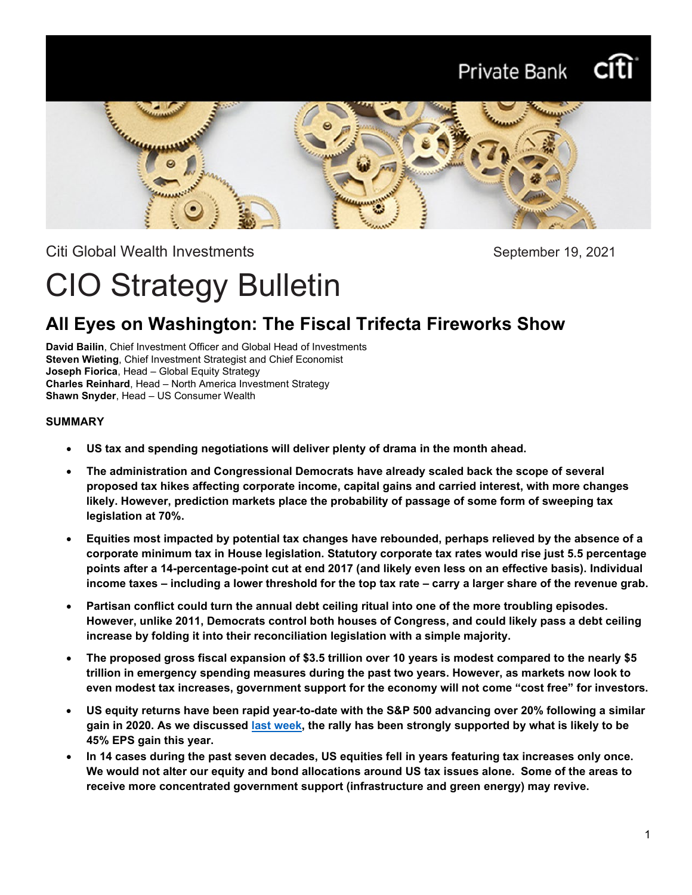# Private Bank



Citi Global Wealth Investments **September 19, 2021** 

# CIO Strategy Bulletin

# **All Eyes on Washington: The Fiscal Trifecta Fireworks Show**

**David Bailin**, Chief Investment Officer and Global Head of Investments **Steven Wieting**, Chief Investment Strategist and Chief Economist **Joseph Fiorica**, Head – Global Equity Strategy **Charles Reinhard**, Head – North America Investment Strategy **Shawn Snyder**, Head – US Consumer Wealth

### **SUMMARY**

- **US tax and spending negotiations will deliver plenty of drama in the month ahead.**
- **The administration and Congressional Democrats have already scaled back the scope of several proposed tax hikes affecting corporate income, capital gains and carried interest, with more changes likely. However, prediction markets place the probability of passage of some form of sweeping tax legislation at 70%.**
- **Equities most impacted by potential tax changes have rebounded, perhaps relieved by the absence of a corporate minimum tax in House legislation. Statutory corporate tax rates would rise just 5.5 percentage points after a 14-percentage-point cut at end 2017 (and likely even less on an effective basis). Individual income taxes – including a lower threshold for the top tax rate – carry a larger share of the revenue grab.**
- **Partisan conflict could turn the annual debt ceiling ritual into one of the more troubling episodes. However, unlike 2011, Democrats control both houses of Congress, and could likely pass a debt ceiling increase by folding it into their reconciliation legislation with a simple majority.**
- **The proposed gross fiscal expansion of \$3.5 trillion over 10 years is modest compared to the nearly \$5 trillion in emergency spending measures during the past two years. However, as markets now look to even modest tax increases, government support for the economy will not come "cost free" for investors.**
- **US equity returns have been rapid year-to-date with the S&P 500 advancing over 20% following a similar gain in 2020. As we discussed [last week,](https://www.privatebank.citibank.com/ivc/docs/quadrant/CIOBulletin091221Final.pdf) the rally has been strongly supported by what is likely to be 45% EPS gain this year.**
- **In 14 cases during the past seven decades, US equities fell in years featuring tax increases only once. We would not alter our equity and bond allocations around US tax issues alone. Some of the areas to receive more concentrated government support (infrastructure and green energy) may revive.**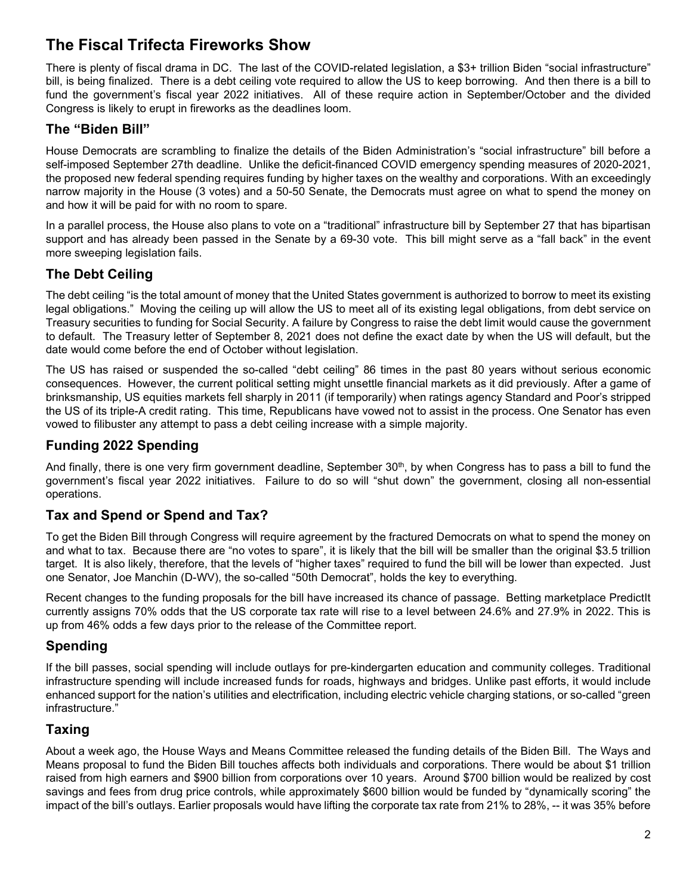# **The Fiscal Trifecta Fireworks Show**

There is plenty of fiscal drama in DC. The last of the COVID-related legislation, a \$3+ trillion Biden "social infrastructure" bill, is being finalized. There is a debt ceiling vote required to allow the US to keep borrowing. And then there is a bill to fund the government's fiscal year 2022 initiatives. All of these require action in September/October and the divided Congress is likely to erupt in fireworks as the deadlines loom.

# **The "Biden Bill"**

House Democrats are scrambling to finalize the details of the Biden Administration's "social infrastructure" bill before a self-imposed September 27th deadline. Unlike the deficit-financed COVID emergency spending measures of 2020-2021, the proposed new federal spending requires funding by higher taxes on the wealthy and corporations. With an exceedingly narrow majority in the House (3 votes) and a 50-50 Senate, the Democrats must agree on what to spend the money on and how it will be paid for with no room to spare.

In a parallel process, the House also plans to vote on a "traditional" infrastructure bill by September 27 that has bipartisan support and has already been passed in the Senate by a 69-30 vote. This bill might serve as a "fall back" in the event more sweeping legislation fails.

# **The Debt Ceiling**

The debt ceiling "is the total amount of money that the United States government is authorized to borrow to meet its existing legal obligations." Moving the ceiling up will allow the US to meet all of its existing legal obligations, from debt service on Treasury securities to funding for Social Security. A failure by Congress to raise the debt limit would cause the government to default. The Treasury letter of September 8, 2021 does not define the exact date by when the US will default, but the date would come before the end of October without legislation.

The US has raised or suspended the so-called "debt ceiling" 86 times in the past 80 years without serious economic consequences. However, the current political setting might unsettle financial markets as it did previously. After a game of brinksmanship, US equities markets fell sharply in 2011 (if temporarily) when ratings agency Standard and Poor's stripped the US of its triple-A credit rating. This time, Republicans have vowed not to assist in the process. One Senator has even vowed to filibuster any attempt to pass a debt ceiling increase with a simple majority.

# **Funding 2022 Spending**

And finally, there is one very firm government deadline, September 30<sup>th</sup>, by when Congress has to pass a bill to fund the government's fiscal year 2022 initiatives. Failure to do so will "shut down" the government, closing all non-essential operations.

# **Tax and Spend or Spend and Tax?**

To get the Biden Bill through Congress will require agreement by the fractured Democrats on what to spend the money on and what to tax. Because there are "no votes to spare", it is likely that the bill will be smaller than the original \$3.5 trillion target. It is also likely, therefore, that the levels of "higher taxes" required to fund the bill will be lower than expected. Just one Senator, Joe Manchin (D-WV), the so-called "50th Democrat", holds the key to everything.

Recent changes to the funding proposals for the bill have increased its chance of passage. Betting marketplace PredictIt currently assigns 70% odds that the US corporate tax rate will rise to a level between 24.6% and 27.9% in 2022. This is up from 46% odds a few days prior to the release of the Committee report.

# **Spending**

If the bill passes, social spending will include outlays for pre-kindergarten education and community colleges. Traditional infrastructure spending will include increased funds for roads, highways and bridges. Unlike past efforts, it would include enhanced support for the nation's utilities and electrification, including electric vehicle charging stations, or so-called "green infrastructure."

# **Taxing**

About a week ago, the House Ways and Means Committee released the funding details of the Biden Bill. The Ways and Means proposal to fund the Biden Bill touches affects both individuals and corporations. There would be about \$1 trillion raised from high earners and \$900 billion from corporations over 10 years. Around \$700 billion would be realized by cost savings and fees from drug price controls, while approximately \$600 billion would be funded by "dynamically scoring" the impact of the bill's outlays. Earlier proposals would have lifting the corporate tax rate from 21% to 28%, -- it was 35% before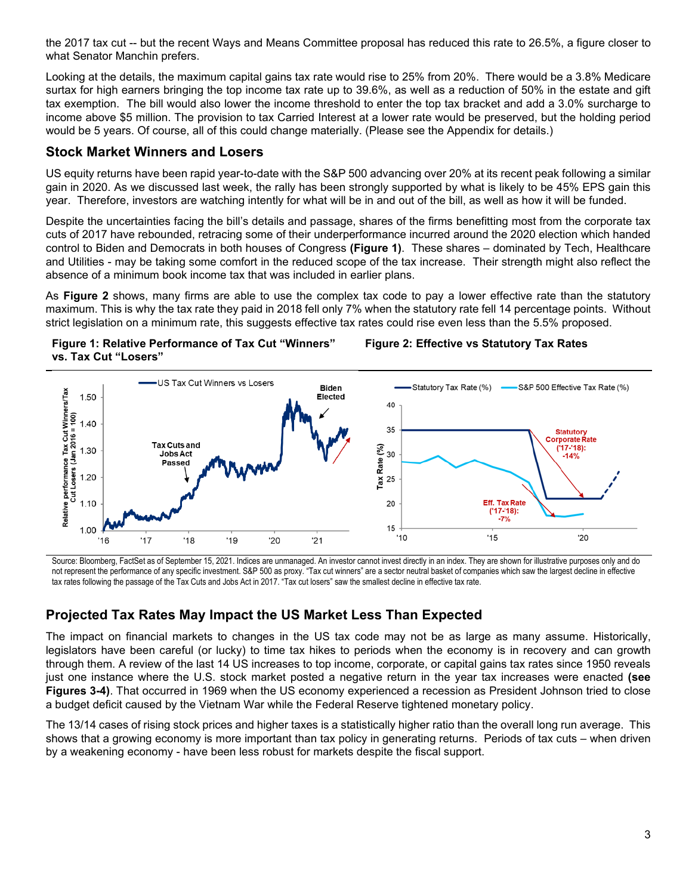the 2017 tax cut -- but the recent Ways and Means Committee proposal has reduced this rate to 26.5%, a figure closer to what Senator Manchin prefers.

Looking at the details, the maximum capital gains tax rate would rise to 25% from 20%. There would be a 3.8% Medicare surtax for high earners bringing the top income tax rate up to 39.6%, as well as a reduction of 50% in the estate and gift tax exemption. The bill would also lower the income threshold to enter the top tax bracket and add a 3.0% surcharge to income above \$5 million. The provision to tax Carried Interest at a lower rate would be preserved, but the holding period would be 5 years. Of course, all of this could change materially. (Please see the Appendix for details.)

### **Stock Market Winners and Losers**

US equity returns have been rapid year-to-date with the S&P 500 advancing over 20% at its recent peak following a similar gain in 2020. As we discussed last week, the rally has been strongly supported by what is likely to be 45% EPS gain this year. Therefore, investors are watching intently for what will be in and out of the bill, as well as how it will be funded.

Despite the uncertainties facing the bill's details and passage, shares of the firms benefitting most from the corporate tax cuts of 2017 have rebounded, retracing some of their underperformance incurred around the 2020 election which handed control to Biden and Democrats in both houses of Congress **(Figure 1)**. These shares – dominated by Tech, Healthcare and Utilities - may be taking some comfort in the reduced scope of the tax increase. Their strength might also reflect the absence of a minimum book income tax that was included in earlier plans.

As **Figure 2** shows, many firms are able to use the complex tax code to pay a lower effective rate than the statutory maximum. This is why the tax rate they paid in 2018 fell only 7% when the statutory rate fell 14 percentage points. Without strict legislation on a minimum rate, this suggests effective tax rates could rise even less than the 5.5% proposed.



#### **Figure 2: Effective vs Statutory Tax Rates**



Source: Bloomberg, FactSet as of September 15, 2021. Indices are unmanaged. An investor cannot invest directly in an index. They are shown for illustrative purposes only and do not represent the performance of any specific investment. S&P 500 as proxy. "Tax cut winners" are a sector neutral basket of companies which saw the largest decline in effective tax rates following the passage of the Tax Cuts and Jobs Act in 2017. "Tax cut losers" saw the smallest decline in effective tax rate.

# **Projected Tax Rates May Impact the US Market Less Than Expected**

The impact on financial markets to changes in the US tax code may not be as large as many assume. Historically, legislators have been careful (or lucky) to time tax hikes to periods when the economy is in recovery and can growth through them. A review of the last 14 US increases to top income, corporate, or capital gains tax rates since 1950 reveals just one instance where the U.S. stock market posted a negative return in the year tax increases were enacted **(see Figures 3-4)**. That occurred in 1969 when the US economy experienced a recession as President Johnson tried to close a budget deficit caused by the Vietnam War while the Federal Reserve tightened monetary policy.

The 13/14 cases of rising stock prices and higher taxes is a statistically higher ratio than the overall long run average. This shows that a growing economy is more important than tax policy in generating returns. Periods of tax cuts – when driven by a weakening economy - have been less robust for markets despite the fiscal support.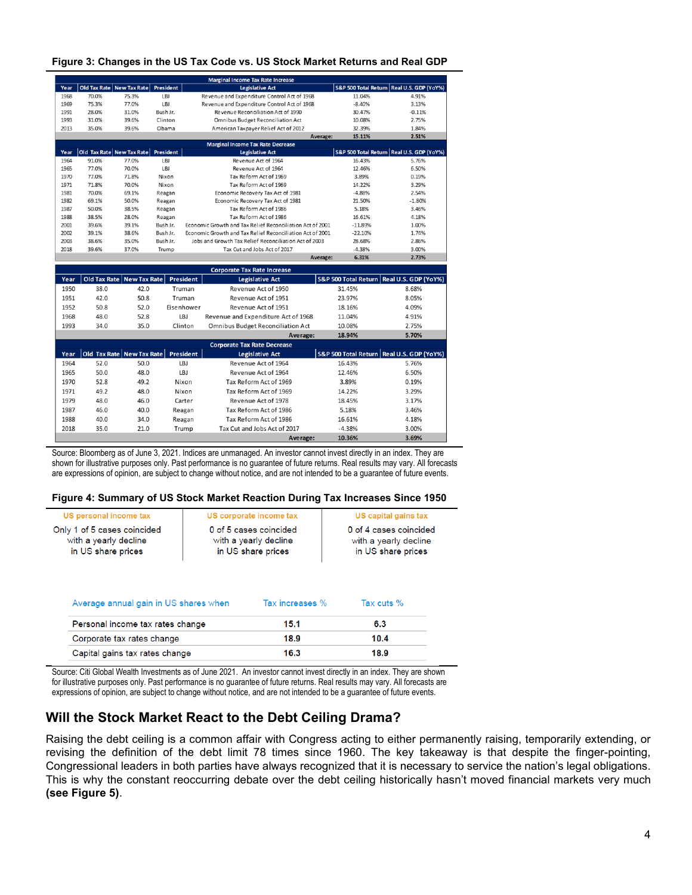| Figure 3: Changes in the US Tax Code vs. US Stock Market Returns and Real GDP |  |  |
|-------------------------------------------------------------------------------|--|--|
|-------------------------------------------------------------------------------|--|--|

|                                    | <b>Marginal Income Tax Rate Increase</b> |                               |            |                        |                                                                                            |          |           |                                             |
|------------------------------------|------------------------------------------|-------------------------------|------------|------------------------|--------------------------------------------------------------------------------------------|----------|-----------|---------------------------------------------|
| Year                               |                                          | Old Tax Rate   New Tax Rate   | President  | <b>Legislative Act</b> |                                                                                            |          |           | S&P 500 Total Return Real U.S. GDP (YoY%)   |
| 1968                               | 70.0%                                    | 75.3%                         | LBJ        |                        | Revenue and Expenditure Control Act of 1968                                                |          | 11.04%    | 4.91%                                       |
| 1969                               | 75.3%                                    | 77.0%                         | LBJ        |                        | Revenue and Expenditure Control Act of 1968                                                |          | $-8.40%$  | 3.13%                                       |
| 1991                               | 28.0%                                    | 31.0%                         | Bush Jr.   |                        | Revenue Reconciliation Act of 1990                                                         |          | 30.47%    | $-0.11%$                                    |
| 1993                               | 31.0%                                    | 39.6%                         | Clinton    |                        | Omnibus Budget Reconciliation Act                                                          |          | 10.08%    | 2.75%                                       |
| 2013                               | 35.0%                                    | 39.6%                         | Obama      |                        | American Taxpayer Relief Act of 2012                                                       |          | 32.39%    | 1.84%                                       |
|                                    |                                          |                               |            |                        |                                                                                            | Average: | 15.11%    | 2.51%                                       |
|                                    |                                          |                               |            |                        | <b>Marginal Income Tax Rate Decrease</b>                                                   |          |           |                                             |
| Year                               |                                          | Old Tax Rate New Tax Rate     | President  |                        | <b>Legislative Act</b>                                                                     |          |           | S&P 500 Total Return Real U.S. GDP (YoY%)   |
| 1964                               | 91.0%                                    | 77.0%                         | <b>LBJ</b> |                        | Revenue Act of 1964                                                                        |          | 16.43%    | 5.76%                                       |
| 1965                               | 77.0%                                    | 70.0%                         | LBJ        |                        | Revenue Act of 1964                                                                        |          | 12.46%    | 6.50%                                       |
| 1970                               | 77.0%                                    | 71.8%                         | Nixon      |                        | Tax Reform Act of 1969                                                                     |          | 3.89%     | 0.19%                                       |
| 1971                               | 71.8%                                    | 70.0%                         | Nixon      |                        | Tax Reform Act of 1969                                                                     |          |           | 3.29%                                       |
| 1981                               | 70.0%                                    | 69.1%                         | Reagan     |                        | Economic Recovery Tax Act of 1981                                                          |          | $-4.88%$  | 2.54%                                       |
| 1982                               | 69.1%                                    | 50.0%                         | Reagan     |                        | Economic Recovery Tax Act of 1981                                                          |          | 21.50%    | $-1.80%$                                    |
| 1987                               | 50.0%                                    | 38.5%                         | Reagan     |                        | Tax Reform Act of 1986                                                                     |          | 5.18%     | 3.46%                                       |
| 1988                               | 38.5%                                    | 28.0%                         | Reagan     |                        | Tax Reform Act of 1986                                                                     |          | 16.61%    | 4.18%                                       |
| 2001                               | 39.6%                                    | 39.1%                         | Bush Jr.   |                        | Economic Growth and Tax Relief Reconciliation Act of 2001                                  |          | $-11.89%$ | 1.00%                                       |
| 2002                               | 39.1%                                    | 38.6%                         | Bush Jr.   |                        | Economic Growth and Tax Relief Reconciliation Act of 2001                                  |          | $-22.10%$ | 1.74%                                       |
| 2003                               | 38.6%                                    | 35.0%                         | Bush Jr.   |                        | Jobs and Growth Tax Relief Reconciliation Act of 2003                                      |          | 28.68%    | 2.86%                                       |
| 2018                               | 39.6%                                    | 37.0%                         | Trump      |                        | Tax Cut and Jobs Act of 2017                                                               |          | $-4.38%$  | 3.00%                                       |
|                                    | Average:                                 |                               |            | 6.31%                  | 2.73%                                                                                      |          |           |                                             |
| <b>Corporate Tax Rate Increase</b> |                                          |                               |            |                        |                                                                                            |          |           |                                             |
| Year                               | <b>Old Tax Rate</b>                      | New Tax Rate                  |            | <b>President</b>       | <b>Legislative Act</b>                                                                     |          |           | S&P 500 Total Return   Real U.S. GDP (YoY%) |
| 1950                               | 38.0                                     | 42.0                          |            | Truman                 | Revenue Act of 1950                                                                        |          | 31.45%    | 8.68%                                       |
| 1951                               | 42.0                                     | 50.8                          |            | Truman                 | Revenue Act of 1951                                                                        |          | 23.97%    | 8.05%                                       |
| 1952                               | 50.8                                     | 52.0                          |            | Eisenhower             | Revenue Act of 1951                                                                        |          | 18.16%    | 4.09%                                       |
| 1000                               | 40 <sub>0</sub>                          | $\mathbf{r} \cdot \mathbf{r}$ |            | $\overline{1}$         | $D_{\text{c}}$ and $D_{\text{c}}$ and $D_{\text{c}}$ and $D_{\text{c}}$ and $D_{\text{c}}$ |          | 44 040/   | $A$ $0.401$                                 |

| 1968 | 48.0 | 52.8                        | LBJ       | Revenue and Expenditure Act of 1968      | 11.04%                                      | 4.91%            |
|------|------|-----------------------------|-----------|------------------------------------------|---------------------------------------------|------------------|
| 1993 | 34.0 | 35.0                        | Clinton   | <b>Omnibus Budget Reconciliation Act</b> | 10.08%                                      | 2.75%            |
|      |      |                             |           | Average:                                 | 18.94%                                      | 5.70%            |
|      |      |                             |           | <b>Corporate Tax Rate Decrease</b>       |                                             |                  |
| Year |      | Old Tax Rate   New Tax Rate | President | <b>Legislative Act</b>                   | S&P 500 Total Return   Real U.S. GDP (YoY%) |                  |
| 1964 | 52.0 | 50.0                        | LBJ       | Revenue Act of 1964                      | 16.43%                                      | 5.76%            |
| 1965 | 50.0 | 48.0                        | LBJ       | Revenue Act of 1964                      | 12.46%                                      | 6.50%            |
| 1970 | 52.8 | 49.2                        | Nixon     | Tax Reform Act of 1969                   | 3.89%                                       | 0.19%            |
| 1971 | 49.2 | 48.0                        | Nixon     | Tax Reform Act of 1969                   | 14.22%                                      | 3.29%            |
| 1979 | 48.0 | 46.0                        | Carter    | Revenue Act of 1978                      | 18.45%                                      | 3.17%            |
| 1987 | 46.0 | 40.0                        | Reagan    | Tax Reform Act of 1986                   | 5.18%                                       | 3.46%            |
| 1988 | 40.0 | 34.0                        | Reagan    | Tax Reform Act of 1986                   | 16.61%                                      | 4.18%            |
| 2018 | 35.0 | 21.0                        | Trump     | Tax Cut and Jobs Act of 2017             | $-4.38%$                                    | 3.00%            |
|      |      |                             |           | A                                        | 10.2 <sub>C</sub> 0                         | 2CO <sub>2</sub> |

Source: Bloomberg as of June 3, 2021. Indices are unmanaged. An investor cannot invest directly in an index. They are shown for illustrative purposes only. Past performance is no guarantee of future returns. Real results may vary. All forecasts are expressions of opinion, are subject to change without notice, and are not intended to be a guarantee of future events.

#### **Figure 4: Summary of US Stock Market Reaction During Tax Increases Since 1950**

| US personal income tax                                                     | US corporate income tax                                               | US capital gains tax                                                  |
|----------------------------------------------------------------------------|-----------------------------------------------------------------------|-----------------------------------------------------------------------|
| Only 1 of 5 cases coincided<br>with a yearly decline<br>in US share prices | 0 of 5 cases coincided<br>with a yearly decline<br>in US share prices | 0 of 4 cases coincided<br>with a yearly decline<br>in US share prices |
| Average annual gain in U.S. shares when                                    | Tay increases $\%$                                                    | Tay cuts $\%$                                                         |

| 15.1 | 6.3  |
|------|------|
| 18.9 | 10.4 |
| 16.3 | 18.9 |
|      |      |

Source: Citi Global Wealth Investments as of June 2021. An investor cannot invest directly in an index. They are shown for illustrative purposes only. Past performance is no guarantee of future returns. Real results may vary. All forecasts are expressions of opinion, are subject to change without notice, and are not intended to be a guarantee of future events.

## **Will the Stock Market React to the Debt Ceiling Drama?**

Raising the debt ceiling is a common affair with Congress acting to either permanently raising, temporarily extending, or revising the definition of the debt limit 78 times since 1960. The key takeaway is that despite the finger-pointing, Congressional leaders in both parties have always recognized that it is necessary to service the nation's legal obligations. This is why the constant reoccurring debate over the debt ceiling historically hasn't moved financial markets very much **(see Figure 5)**.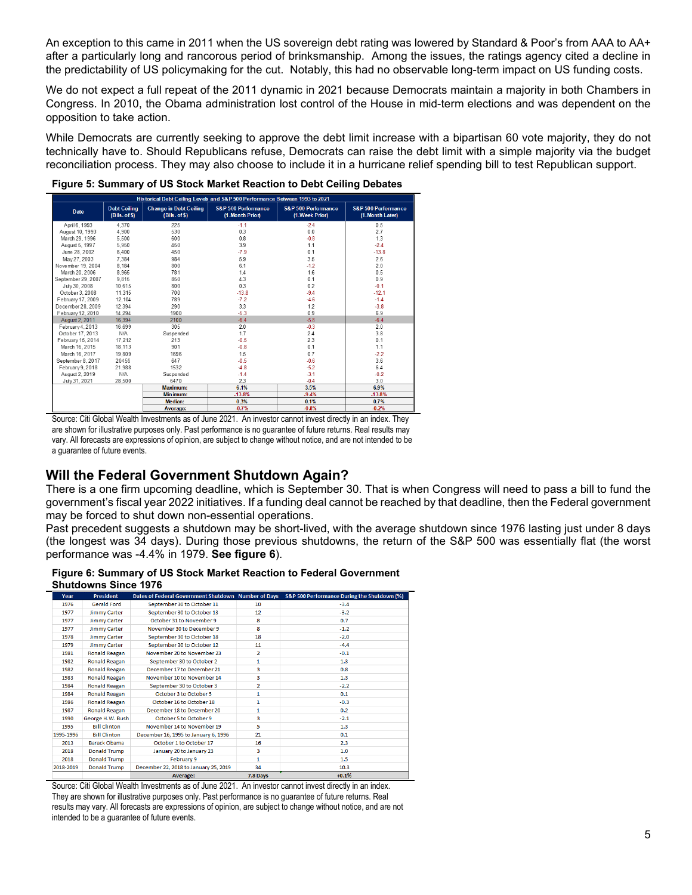An exception to this came in 2011 when the US sovereign debt rating was lowered by Standard & Poor's from AAA to AA+ after a particularly long and rancorous period of brinksmanship. Among the issues, the ratings agency cited a decline in the predictability of US policymaking for the cut. Notably, this had no observable long-term impact on US funding costs.

We do not expect a full repeat of the 2011 dynamic in 2021 because Democrats maintain a majority in both Chambers in Congress. In 2010, the Obama administration lost control of the House in mid-term elections and was dependent on the opposition to take action.

While Democrats are currently seeking to approve the debt limit increase with a bipartisan 60 vote majority, they do not technically have to. Should Republicans refuse, Democrats can raise the debt limit with a simple majority via the budget reconciliation process. They may also choose to include it in a hurricane relief spending bill to test Republican support.

| Historical Debt Ceiling Levels and S&P 500 Performance Between 1993 to 2021 |                                      |                                                |                                        |                                       |                                        |  |  |
|-----------------------------------------------------------------------------|--------------------------------------|------------------------------------------------|----------------------------------------|---------------------------------------|----------------------------------------|--|--|
| Date                                                                        | <b>Debt Ceiling</b><br>(Bils. of \$) | <b>Change in Debt Ceiling</b><br>(Bils. of \$) | S&P 500 Performance<br>(1-Month Prior) | S&P 500 Performance<br>(1-Week Prior) | S&P 500 Performance<br>(1-Month Later) |  |  |
| April 6, 1993                                                               | 4.370                                | 225                                            | $-1.1$                                 | $-24$                                 | 0.5                                    |  |  |
| August 10, 1993                                                             | 4.900                                | 530                                            | 0.3                                    | 0.0                                   | 2.7                                    |  |  |
| March 29, 1996                                                              | 5,500                                | 600                                            | 0.8                                    | $-0.8$                                | 1.3                                    |  |  |
| August 5, 1997                                                              | 5.950                                | 450                                            | 39                                     | 1.1                                   | $-2.4$                                 |  |  |
| June 28, 2002                                                               | 6.400                                | 450                                            | $-7.9$                                 | 0.1                                   | $-13.8$                                |  |  |
| May 27, 2003                                                                | 7.384                                | 984                                            | 5.9                                    | 3.5                                   | 2.6                                    |  |  |
| November 19, 2004                                                           | 8.184                                | 800                                            | 6.1                                    | $-12$                                 | 2.0                                    |  |  |
| March 20, 2006                                                              | 8,965                                | 781                                            | 1.4                                    | 1.6                                   | 0.5                                    |  |  |
| September 29, 2007                                                          | 9,815                                | 850                                            | 4.3                                    | 0.1                                   | 0.9                                    |  |  |
| July 30, 2008                                                               | 10.615                               | 800                                            | 0.3                                    | 0.2                                   | $-0.1$                                 |  |  |
| October 3, 2008                                                             | 11,315                               | 700                                            | $-13.8$                                | $-9.4$                                | $-12.1$                                |  |  |
| February 17, 2009                                                           | 12.104                               | 789                                            | $-72$                                  | $-4.6$                                | $-1.4$                                 |  |  |
| December 28, 2009                                                           | 12.394                               | 290                                            | 3.3                                    | 1.2                                   | $-3.8$                                 |  |  |
| February 12, 2010                                                           | 14.294                               | 1900                                           | $-5.3$                                 | 0.9                                   | 6.9                                    |  |  |
| August 2, 2011                                                              | 16.394                               | 2100                                           | $-6.4$                                 | $-5.8$                                | $-6.4$                                 |  |  |
| February 4, 2013                                                            | 16.699                               | 305                                            | 2.0                                    | $-0.3$                                | 2.0                                    |  |  |
| October 17, 2013                                                            | N/A                                  | Suspended                                      | 1.7                                    | 2.4                                   | 3.8                                    |  |  |
| February 15, 2014                                                           | 17.212                               | 213                                            | $-0.5$                                 | 2.3                                   | 0.1                                    |  |  |
| March 16, 2015                                                              | 18.113                               | 901                                            | $-0.8$                                 | 0.1                                   | 1.1                                    |  |  |
| March 16, 2017                                                              | 19,809                               | 1696                                           | 1.5                                    | 0.7                                   | $-2.2$                                 |  |  |
| September 8, 2017                                                           | 20456                                | 647                                            | $-0.5$                                 | $-0.6$                                | 3.6                                    |  |  |
| February 9, 2018                                                            | 21,988                               | 1532                                           | $-4.8$                                 | $-5.2$                                | 6.4                                    |  |  |
| August 2, 2019                                                              | N/A                                  | Suspended                                      | $-1.4$                                 | $-3.1$                                | $-0.2$                                 |  |  |
| July 31, 2021                                                               | 28,500                               | 6470                                           | 2.3                                    | $-0.4$                                | 3.0                                    |  |  |
|                                                                             |                                      | Maximum:                                       | 6.1%                                   | 3.5%                                  | 6.9%                                   |  |  |
|                                                                             |                                      | Min imum:                                      | $-13.8%$                               | $-9.4%$                               | $-13.8%$                               |  |  |
|                                                                             |                                      | Median:                                        | 0.3%                                   | 0.1%                                  | 0.7%                                   |  |  |
|                                                                             |                                      | Average:                                       | $-0.7%$                                | $-0.8%$                               | $-0.2%$                                |  |  |

are shown for illustrative purposes only. Past performance is no guarantee of future returns. Real results may vary. All forecasts are expressions of opinion, are subject to change without notice, and are not intended to be a guarantee of future events.

## **Will the Federal Government Shutdown Again?**

There is a one firm upcoming deadline, which is September 30. That is when Congress will need to pass a bill to fund the government's fiscal year 2022 initiatives. If a funding deal cannot be reached by that deadline, then the Federal government may be forced to shut down non-essential operations.

Past precedent suggests a shutdown may be short-lived, with the average shutdown since 1976 lasting just under 8 days (the longest was 34 days). During those previous shutdowns, the return of the S&P 500 was essentially flat (the worst performance was -4.4% in 1979. **See figure 6**).

#### **Figure 6: Summary of US Stock Market Reaction to Federal Government Shutdowns Since 1976**

| Year      | <b>President</b>     | Dates of Federal Government Shutdown Number of Days |                | S&P 500 Performance During the Shutdown (%) |
|-----------|----------------------|-----------------------------------------------------|----------------|---------------------------------------------|
| 1976      | <b>Gerald Ford</b>   | September 30 to October 11                          | 10             | $-3.4$                                      |
| 1977      | <b>Jimmy Carter</b>  | September 30 to October 13                          | 12             | $-3.2$                                      |
| 1977      | <b>Jimmy Carter</b>  | October 31 to November 9                            | 8              | 0.7                                         |
| 1977      | <b>Jimmy Carter</b>  | November 30 to December 9                           | 8              | $-1.2$                                      |
| 1978      | <b>Jimmy Carter</b>  | September 30 to October 18                          | 18             | $-2.0$                                      |
| 1979      | <b>Jimmy Carter</b>  | September 30 to October 12                          | 11             | $-4.4$                                      |
| 1981      | <b>Ronald Reagan</b> | November 20 to November 23                          | $\mathfrak{p}$ | $-0.1$                                      |
| 1982      | <b>Ronald Reagan</b> | September 30 to October 2                           | 1              | 1.3                                         |
| 1982      | <b>Ronald Reagan</b> | December 17 to December 21                          | 3              | 0.8                                         |
| 1983      | <b>Ronald Reagan</b> | November 10 to November 14                          | 3              | 1.3                                         |
| 1984      | Ronald Reagan        | September 30 to October 3                           | $\overline{2}$ | $-2.2$                                      |
| 1984      | Ronald Reagan        | October 3 to October 5                              | 1              | 0.1                                         |
| 1986      | <b>Ronald Reagan</b> | October 16 to October 18                            | 1              | $-0.3$                                      |
| 1987      | <b>Ronald Reagan</b> | December 18 to December 20                          | 1              | 0.2                                         |
| 1990      | George H.W. Bush     | October 5 to October 9                              | 3              | $-2.1$                                      |
| 1995      | <b>Bill Clinton</b>  | November 14 to November 19                          | 5              | 1.3                                         |
| 1995-1996 | <b>Bill Clinton</b>  | December 16, 1995 to January 6, 1996                | 21             | 0.1                                         |
| 2013      | <b>Barack Obama</b>  | October 1 to October 17                             | 16             | 2.3                                         |
| 2018      | <b>Donald Trump</b>  | January 20 to January 23                            | 3              | 1.0                                         |
| 2018      | Donald Trump         | February 9                                          | 1              | 1.5                                         |
| 2018-2019 | Donald Trump         | December 22, 2018 to January 25, 2019               | 34             | 10.3                                        |
|           |                      | <b>Average:</b>                                     | 7.8 Days       | $+0.1%$                                     |

Source: Citi Global Wealth Investments as of June 2021. An investor cannot invest directly in an index. They are shown for illustrative purposes only. Past performance is no guarantee of future returns. Real results may vary. All forecasts are expressions of opinion, are subject to change without notice, and are not intended to be a guarantee of future events.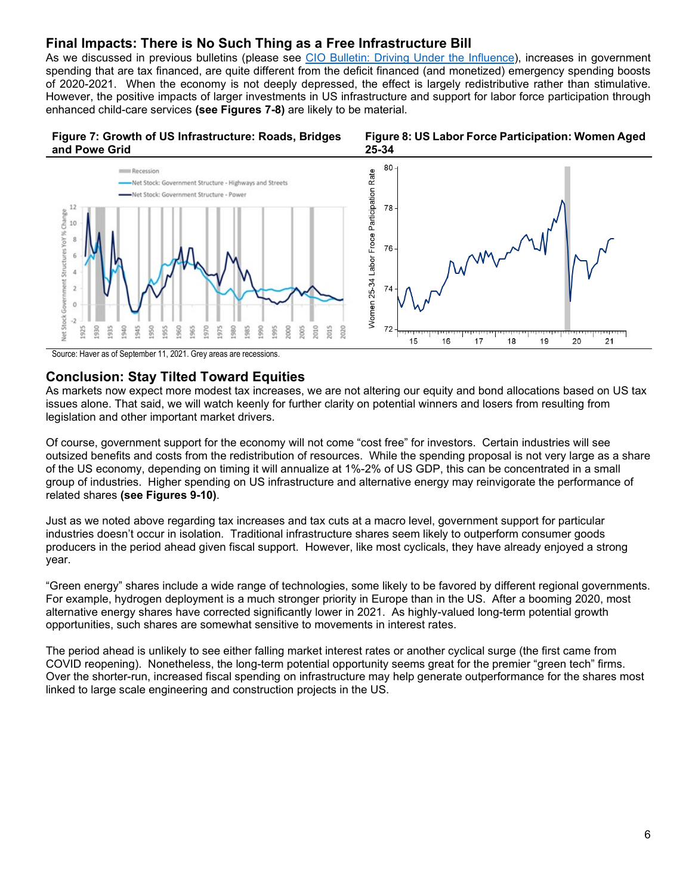### **Final Impacts: There is No Such Thing as a Free Infrastructure Bill**

As we discussed in previous bulletins (please see [CIO Bulletin: Driving Under the Influence\)](https://www.privatebank.citibank.com/ivc/docs/quadrant/CIOBulletin040321.pdf), increases in government spending that are tax financed, are quite different from the deficit financed (and monetized) emergency spending boosts of 2020-2021. When the economy is not deeply depressed, the effect is largely redistributive rather than stimulative. However, the positive impacts of larger investments in US infrastructure and support for labor force participation through enhanced child-care services **(see Figures 7-8)** are likely to be material.







Source: Haver as of September 11, 2021. Grey areas are recessions.

#### **Conclusion: Stay Tilted Toward Equities**

As markets now expect more modest tax increases, we are not altering our equity and bond allocations based on US tax issues alone. That said, we will watch keenly for further clarity on potential winners and losers from resulting from legislation and other important market drivers.

Of course, government support for the economy will not come "cost free" for investors. Certain industries will see outsized benefits and costs from the redistribution of resources. While the spending proposal is not very large as a share of the US economy, depending on timing it will annualize at 1%-2% of US GDP, this can be concentrated in a small group of industries. Higher spending on US infrastructure and alternative energy may reinvigorate the performance of related shares **(see Figures 9-10)**.

Just as we noted above regarding tax increases and tax cuts at a macro level, government support for particular industries doesn't occur in isolation. Traditional infrastructure shares seem likely to outperform consumer goods producers in the period ahead given fiscal support. However, like most cyclicals, they have already enjoyed a strong year.

"Green energy" shares include a wide range of technologies, some likely to be favored by different regional governments. For example, hydrogen deployment is a much stronger priority in Europe than in the US. After a booming 2020, most alternative energy shares have corrected significantly lower in 2021. As highly-valued long-term potential growth opportunities, such shares are somewhat sensitive to movements in interest rates.

The period ahead is unlikely to see either falling market interest rates or another cyclical surge (the first came from COVID reopening). Nonetheless, the long-term potential opportunity seems great for the premier "green tech" firms. Over the shorter-run, increased fiscal spending on infrastructure may help generate outperformance for the shares most linked to large scale engineering and construction projects in the US.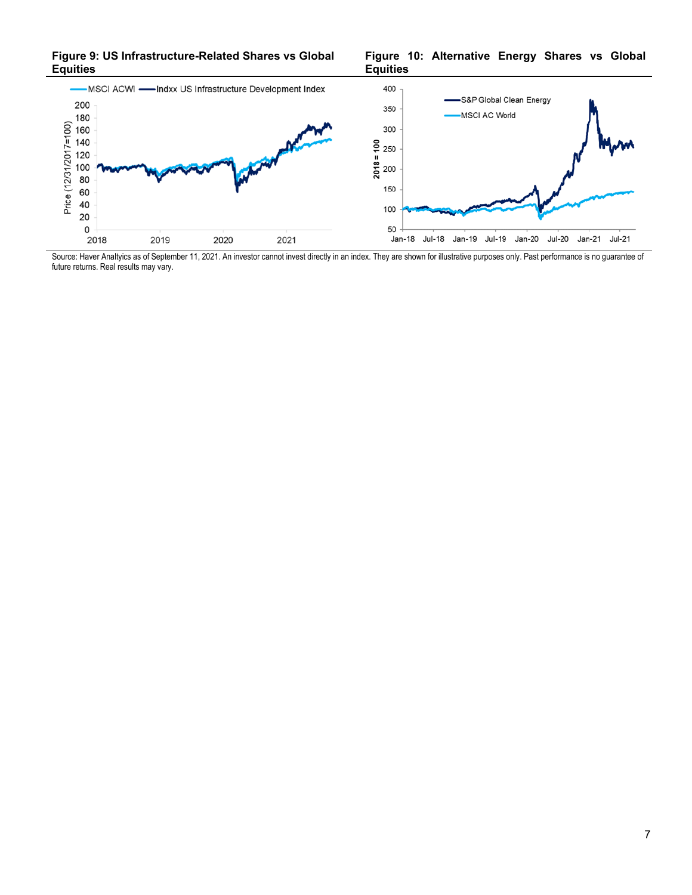**Figure 9: US Infrastructure-Related Shares vs Global Equities**

**Figure 10: Alternative Energy Shares vs Global Equities**



Source: Haver Analtyics as of September 11, 2021. An investor cannot invest directly in an index. They are shown for illustrative purposes only. Past performance is no guarantee of future returns. Real results may vary.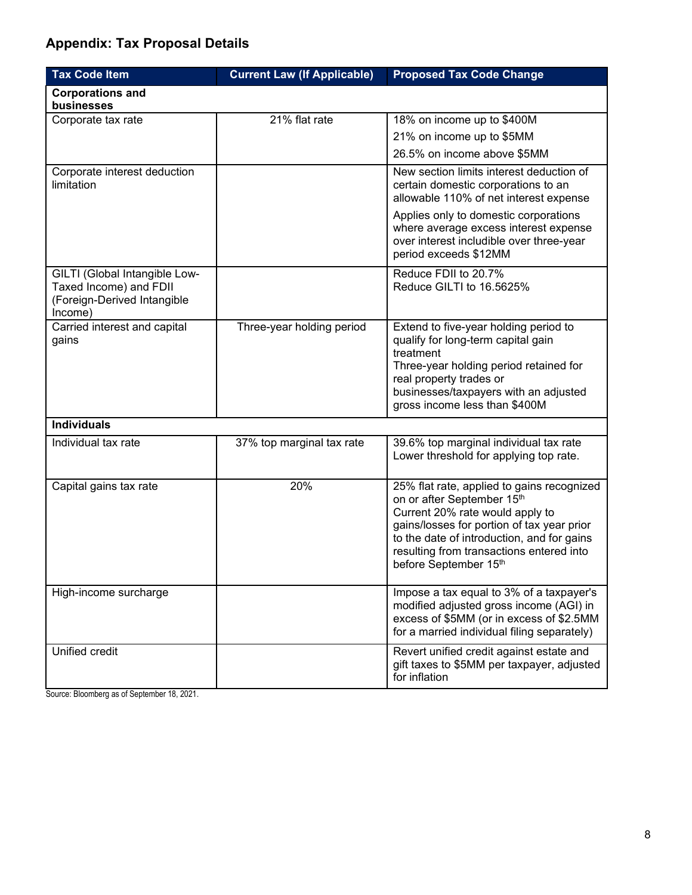# **Appendix: Tax Proposal Details**

| <b>Tax Code Item</b>                                                                              | <b>Current Law (If Applicable)</b> | <b>Proposed Tax Code Change</b>                                                                                                                                                                                                                                              |
|---------------------------------------------------------------------------------------------------|------------------------------------|------------------------------------------------------------------------------------------------------------------------------------------------------------------------------------------------------------------------------------------------------------------------------|
| <b>Corporations and</b><br>businesses                                                             |                                    |                                                                                                                                                                                                                                                                              |
| Corporate tax rate                                                                                | 21% flat rate                      | 18% on income up to \$400M                                                                                                                                                                                                                                                   |
|                                                                                                   |                                    | 21% on income up to \$5MM                                                                                                                                                                                                                                                    |
|                                                                                                   |                                    | 26.5% on income above \$5MM                                                                                                                                                                                                                                                  |
| Corporate interest deduction<br>limitation                                                        |                                    | New section limits interest deduction of<br>certain domestic corporations to an<br>allowable 110% of net interest expense                                                                                                                                                    |
|                                                                                                   |                                    | Applies only to domestic corporations<br>where average excess interest expense<br>over interest includible over three-year<br>period exceeds \$12MM                                                                                                                          |
| GILTI (Global Intangible Low-<br>Taxed Income) and FDII<br>(Foreign-Derived Intangible<br>Income) |                                    | Reduce FDII to 20.7%<br>Reduce GILTI to 16.5625%                                                                                                                                                                                                                             |
| Carried interest and capital<br>gains                                                             | Three-year holding period          | Extend to five-year holding period to<br>qualify for long-term capital gain<br>treatment<br>Three-year holding period retained for<br>real property trades or<br>businesses/taxpayers with an adjusted<br>gross income less than \$400M                                      |
| <b>Individuals</b>                                                                                |                                    |                                                                                                                                                                                                                                                                              |
| Individual tax rate                                                                               | 37% top marginal tax rate          | 39.6% top marginal individual tax rate<br>Lower threshold for applying top rate.                                                                                                                                                                                             |
| Capital gains tax rate                                                                            | 20%                                | 25% flat rate, applied to gains recognized<br>on or after September 15th<br>Current 20% rate would apply to<br>gains/losses for portion of tax year prior<br>to the date of introduction, and for gains<br>resulting from transactions entered into<br>before September 15th |
| High-income surcharge                                                                             |                                    | Impose a tax equal to 3% of a taxpayer's<br>modified adjusted gross income (AGI) in<br>excess of \$5MM (or in excess of \$2.5MM<br>for a married individual filing separately)                                                                                               |
| Unified credit                                                                                    |                                    | Revert unified credit against estate and<br>gift taxes to \$5MM per taxpayer, adjusted<br>for inflation                                                                                                                                                                      |

Source: Bloomberg as of September 18, 2021.